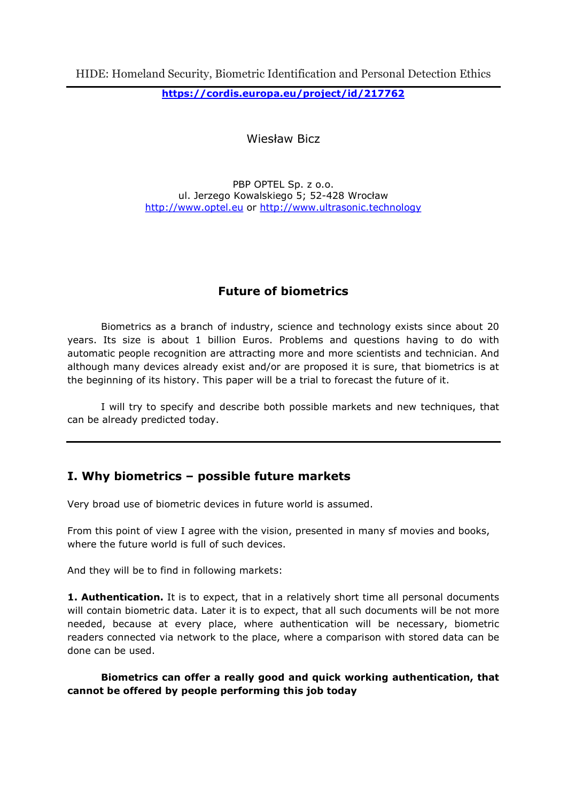https://cordis.europa.eu/project/id/217762

Wiesław Bicz

PBP OPTEL Sp. z o.o. ul. Jerzego Kowalskiego 5; 52-428 Wrocław http://www.optel.eu or http://www.ultrasonic.technology

# Future of biometrics

Biometrics as a branch of industry, science and technology exists since about 20 years. Its size is about 1 billion Euros. Problems and questions having to do with automatic people recognition are attracting more and more scientists and technician. And although many devices already exist and/or are proposed it is sure, that biometrics is at the beginning of its history. This paper will be a trial to forecast the future of it.

I will try to specify and describe both possible markets and new techniques, that can be already predicted today.

# I. Why biometrics – possible future markets

Very broad use of biometric devices in future world is assumed.

From this point of view I agree with the vision, presented in many sf movies and books, where the future world is full of such devices.

And they will be to find in following markets:

1. Authentication. It is to expect, that in a relatively short time all personal documents will contain biometric data. Later it is to expect, that all such documents will be not more needed, because at every place, where authentication will be necessary, biometric readers connected via network to the place, where a comparison with stored data can be done can be used.

Biometrics can offer a really good and quick working authentication, that cannot be offered by people performing this job today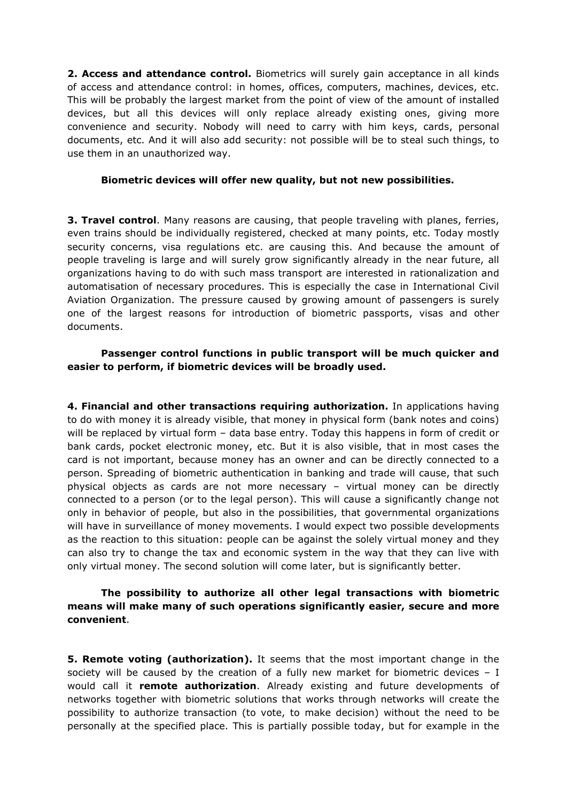2. Access and attendance control. Biometrics will surely gain acceptance in all kinds of access and attendance control: in homes, offices, computers, machines, devices, etc. This will be probably the largest market from the point of view of the amount of installed devices, but all this devices will only replace already existing ones, giving more convenience and security. Nobody will need to carry with him keys, cards, personal documents, etc. And it will also add security: not possible will be to steal such things, to use them in an unauthorized way.

#### Biometric devices will offer new quality, but not new possibilities.

**3. Travel control**. Many reasons are causing, that people traveling with planes, ferries, even trains should be individually registered, checked at many points, etc. Today mostly security concerns, visa regulations etc. are causing this. And because the amount of people traveling is large and will surely grow significantly already in the near future, all organizations having to do with such mass transport are interested in rationalization and automatisation of necessary procedures. This is especially the case in International Civil Aviation Organization. The pressure caused by growing amount of passengers is surely one of the largest reasons for introduction of biometric passports, visas and other documents.

## Passenger control functions in public transport will be much quicker and easier to perform, if biometric devices will be broadly used.

4. Financial and other transactions requiring authorization. In applications having to do with money it is already visible, that money in physical form (bank notes and coins) will be replaced by virtual form – data base entry. Today this happens in form of credit or bank cards, pocket electronic money, etc. But it is also visible, that in most cases the card is not important, because money has an owner and can be directly connected to a person. Spreading of biometric authentication in banking and trade will cause, that such physical objects as cards are not more necessary – virtual money can be directly connected to a person (or to the legal person). This will cause a significantly change not only in behavior of people, but also in the possibilities, that governmental organizations will have in surveillance of money movements. I would expect two possible developments as the reaction to this situation: people can be against the solely virtual money and they can also try to change the tax and economic system in the way that they can live with only virtual money. The second solution will come later, but is significantly better.

### The possibility to authorize all other legal transactions with biometric means will make many of such operations significantly easier, secure and more convenient.

**5. Remote voting (authorization).** It seems that the most important change in the society will be caused by the creation of a fully new market for biometric devices  $- I$ would call it remote authorization. Already existing and future developments of networks together with biometric solutions that works through networks will create the possibility to authorize transaction (to vote, to make decision) without the need to be personally at the specified place. This is partially possible today, but for example in the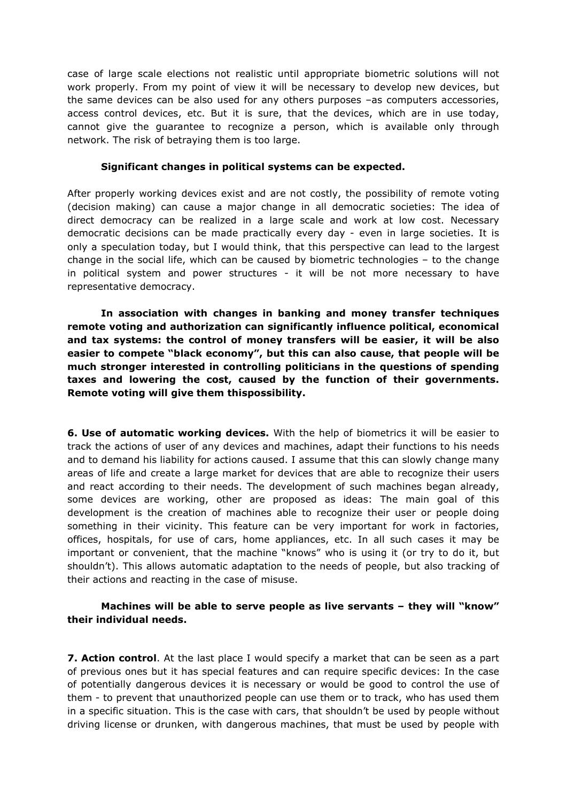case of large scale elections not realistic until appropriate biometric solutions will not work properly. From my point of view it will be necessary to develop new devices, but the same devices can be also used for any others purposes –as computers accessories, access control devices, etc. But it is sure, that the devices, which are in use today, cannot give the guarantee to recognize a person, which is available only through network. The risk of betraying them is too large.

#### Significant changes in political systems can be expected.

After properly working devices exist and are not costly, the possibility of remote voting (decision making) can cause a major change in all democratic societies: The idea of direct democracy can be realized in a large scale and work at low cost. Necessary democratic decisions can be made practically every day - even in large societies. It is only a speculation today, but I would think, that this perspective can lead to the largest change in the social life, which can be caused by biometric technologies – to the change in political system and power structures - it will be not more necessary to have representative democracy.

In association with changes in banking and money transfer techniques remote voting and authorization can significantly influence political, economical and tax systems: the control of money transfers will be easier, it will be also easier to compete "black economy", but this can also cause, that people will be much stronger interested in controlling politicians in the questions of spending taxes and lowering the cost, caused by the function of their governments. Remote voting will give them thispossibility.

**6. Use of automatic working devices.** With the help of biometrics it will be easier to track the actions of user of any devices and machines, adapt their functions to his needs and to demand his liability for actions caused. I assume that this can slowly change many areas of life and create a large market for devices that are able to recognize their users and react according to their needs. The development of such machines began already, some devices are working, other are proposed as ideas: The main goal of this development is the creation of machines able to recognize their user or people doing something in their vicinity. This feature can be very important for work in factories, offices, hospitals, for use of cars, home appliances, etc. In all such cases it may be important or convenient, that the machine "knows" who is using it (or try to do it, but shouldn't). This allows automatic adaptation to the needs of people, but also tracking of their actions and reacting in the case of misuse.

#### Machines will be able to serve people as live servants – they will "know" their individual needs.

**7. Action control**. At the last place I would specify a market that can be seen as a part of previous ones but it has special features and can require specific devices: In the case of potentially dangerous devices it is necessary or would be good to control the use of them - to prevent that unauthorized people can use them or to track, who has used them in a specific situation. This is the case with cars, that shouldn't be used by people without driving license or drunken, with dangerous machines, that must be used by people with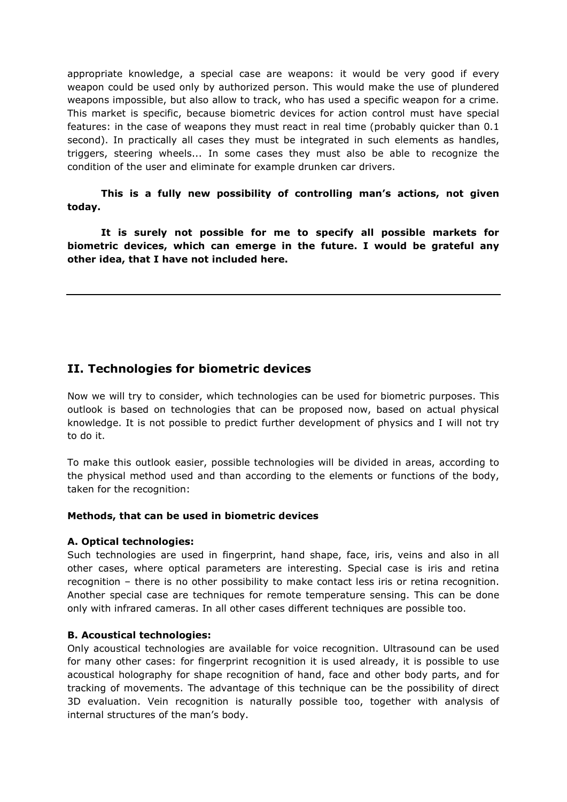appropriate knowledge, a special case are weapons: it would be very good if every weapon could be used only by authorized person. This would make the use of plundered weapons impossible, but also allow to track, who has used a specific weapon for a crime. This market is specific, because biometric devices for action control must have special features: in the case of weapons they must react in real time (probably quicker than 0.1 second). In practically all cases they must be integrated in such elements as handles, triggers, steering wheels... In some cases they must also be able to recognize the condition of the user and eliminate for example drunken car drivers.

This is a fully new possibility of controlling man's actions, not given today.

It is surely not possible for me to specify all possible markets for biometric devices, which can emerge in the future. I would be grateful any other idea, that I have not included here.

# II. Technologies for biometric devices

Now we will try to consider, which technologies can be used for biometric purposes. This outlook is based on technologies that can be proposed now, based on actual physical knowledge. It is not possible to predict further development of physics and I will not try to do it.

To make this outlook easier, possible technologies will be divided in areas, according to the physical method used and than according to the elements or functions of the body, taken for the recognition:

#### Methods, that can be used in biometric devices

#### A. Optical technologies:

Such technologies are used in fingerprint, hand shape, face, iris, veins and also in all other cases, where optical parameters are interesting. Special case is iris and retina recognition – there is no other possibility to make contact less iris or retina recognition. Another special case are techniques for remote temperature sensing. This can be done only with infrared cameras. In all other cases different techniques are possible too.

#### B. Acoustical technologies:

Only acoustical technologies are available for voice recognition. Ultrasound can be used for many other cases: for fingerprint recognition it is used already, it is possible to use acoustical holography for shape recognition of hand, face and other body parts, and for tracking of movements. The advantage of this technique can be the possibility of direct 3D evaluation. Vein recognition is naturally possible too, together with analysis of internal structures of the man's body.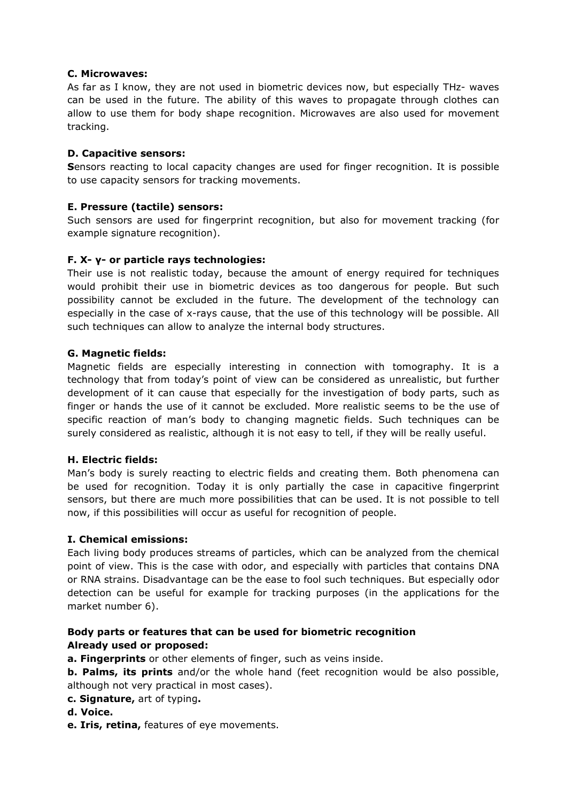#### C. Microwaves:

As far as I know, they are not used in biometric devices now, but especially THz- waves can be used in the future. The ability of this waves to propagate through clothes can allow to use them for body shape recognition. Microwaves are also used for movement tracking.

#### D. Capacitive sensors:

Sensors reacting to local capacity changes are used for finger recognition. It is possible to use capacity sensors for tracking movements.

#### E. Pressure (tactile) sensors:

Such sensors are used for fingerprint recognition, but also for movement tracking (for example signature recognition).

#### F. X- γ- or particle rays technologies:

Their use is not realistic today, because the amount of energy required for techniques would prohibit their use in biometric devices as too dangerous for people. But such possibility cannot be excluded in the future. The development of the technology can especially in the case of x-rays cause, that the use of this technology will be possible. All such techniques can allow to analyze the internal body structures.

#### G. Magnetic fields:

Magnetic fields are especially interesting in connection with tomography. It is a technology that from today's point of view can be considered as unrealistic, but further development of it can cause that especially for the investigation of body parts, such as finger or hands the use of it cannot be excluded. More realistic seems to be the use of specific reaction of man's body to changing magnetic fields. Such techniques can be surely considered as realistic, although it is not easy to tell, if they will be really useful.

#### H. Electric fields:

Man's body is surely reacting to electric fields and creating them. Both phenomena can be used for recognition. Today it is only partially the case in capacitive fingerprint sensors, but there are much more possibilities that can be used. It is not possible to tell now, if this possibilities will occur as useful for recognition of people.

#### I. Chemical emissions:

Each living body produces streams of particles, which can be analyzed from the chemical point of view. This is the case with odor, and especially with particles that contains DNA or RNA strains. Disadvantage can be the ease to fool such techniques. But especially odor detection can be useful for example for tracking purposes (in the applications for the market number 6).

## Body parts or features that can be used for biometric recognition Already used or proposed:

a. Fingerprints or other elements of finger, such as veins inside.

**b. Palms, its prints** and/or the whole hand (feet recognition would be also possible, although not very practical in most cases).

- c. Signature, art of typing.
- d. Voice.
- e. Iris, retina, features of eye movements.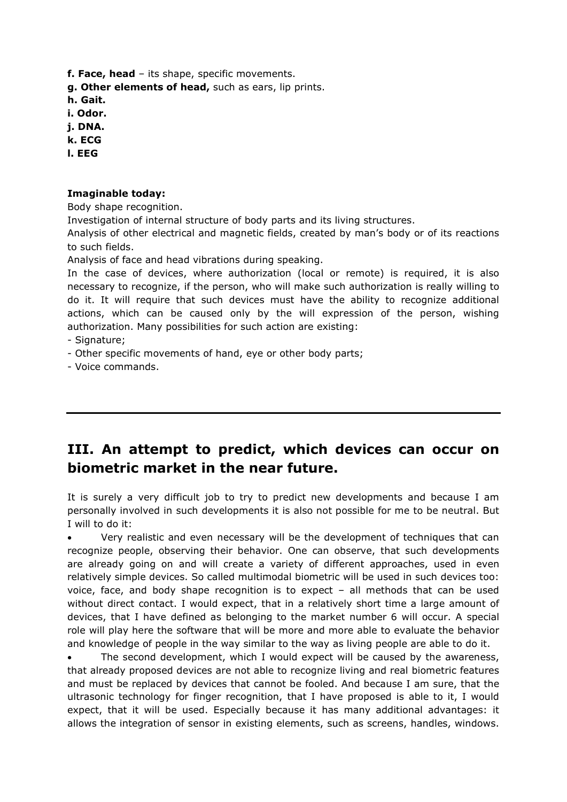f. Face, head - its shape, specific movements.

g. Other elements of head, such as ears, lip prints.

h. Gait.

- i. Odor.
- j. DNA.
- k. ECG
- l. EEG

#### Imaginable today:

Body shape recognition.

Investigation of internal structure of body parts and its living structures.

Analysis of other electrical and magnetic fields, created by man's body or of its reactions to such fields.

Analysis of face and head vibrations during speaking.

In the case of devices, where authorization (local or remote) is required, it is also necessary to recognize, if the person, who will make such authorization is really willing to do it. It will require that such devices must have the ability to recognize additional actions, which can be caused only by the will expression of the person, wishing authorization. Many possibilities for such action are existing:

- Signature;

- Other specific movements of hand, eye or other body parts;

- Voice commands.

# III. An attempt to predict, which devices can occur on biometric market in the near future.

It is surely a very difficult job to try to predict new developments and because I am personally involved in such developments it is also not possible for me to be neutral. But I will to do it:

 Very realistic and even necessary will be the development of techniques that can recognize people, observing their behavior. One can observe, that such developments are already going on and will create a variety of different approaches, used in even relatively simple devices. So called multimodal biometric will be used in such devices too: voice, face, and body shape recognition is to expect – all methods that can be used without direct contact. I would expect, that in a relatively short time a large amount of devices, that I have defined as belonging to the market number 6 will occur. A special role will play here the software that will be more and more able to evaluate the behavior and knowledge of people in the way similar to the way as living people are able to do it.

 The second development, which I would expect will be caused by the awareness, that already proposed devices are not able to recognize living and real biometric features and must be replaced by devices that cannot be fooled. And because I am sure, that the ultrasonic technology for finger recognition, that I have proposed is able to it, I would expect, that it will be used. Especially because it has many additional advantages: it allows the integration of sensor in existing elements, such as screens, handles, windows.